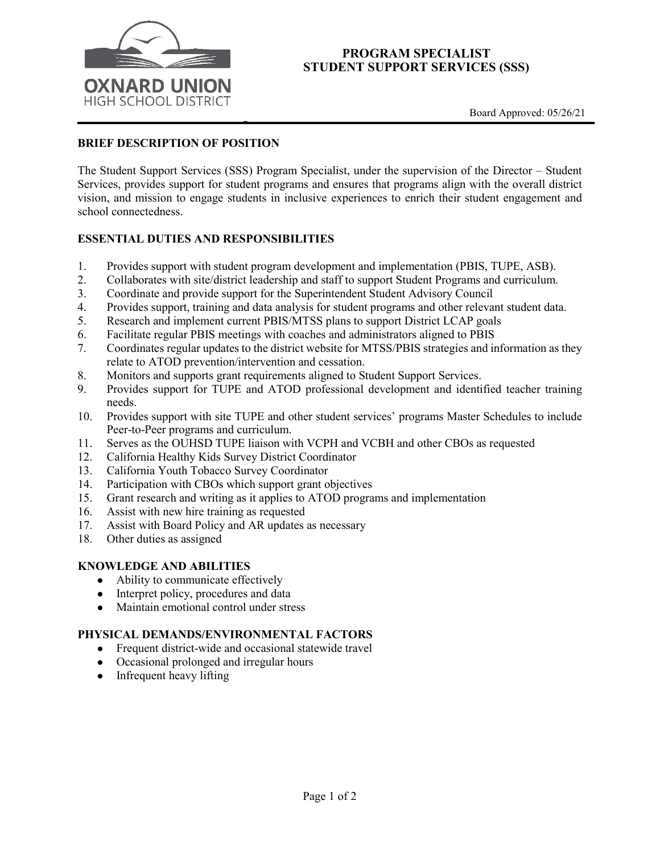

### **PROGRAM SPECIALIST STUDENT SUPPORT SERVICES (SSS)**

## **BRIEF DESCRIPTION OF POSITION**

The Student Support Services (SSS) Program Specialist, under the supervision of the Director – Student Services, provides support for student programs and ensures that programs align with the overall district vision, and mission to engage students in inclusive experiences to enrich their student engagement and school connectedness.

## **ESSENTIAL DUTIES AND RESPONSIBILITIES**

- 1. Provides support with student program development and implementation (PBIS, TUPE, ASB).<br>2. Collaborates with site/district leadership and staff to support Student Programs and curriculum.
- 2. Collaborates with site/district leadership and staff to support Student Programs and curriculum.
- 3. Coordinate and provide support for the Superintendent Student Advisory Council
- 4. Provides support, training and data analysis for student programs and other relevant student data.
- 5. Research and implement current PBIS/MTSS plans to support District LCAP goals
- 6. Facilitate regular PBIS meetings with coaches and administrators aligned to PBIS
- 7. Coordinates regular updates to the district website for MTSS/PBIS strategies and information as they relate to ATOD prevention/intervention and cessation.
- 8. Monitors and supports grant requirements aligned to Student Support Services.
- 9. Provides support for TUPE and ATOD professional development and identified teacher training needs.
- 10. Provides support with site TUPE and other student services' programs Master Schedules to include Peer-to-Peer programs and curriculum.
- 11. Serves as the OUHSD TUPE liaison with VCPH and VCBH and other CBOs as requested
- 12. California Healthy Kids Survey District Coordinator
- 13. California Youth Tobacco Survey Coordinator
- 14. Participation with CBOs which support grant objectives
- 15. Grant research and writing as it applies to ATOD programs and implementation
- 16. Assist with new hire training as requested
- 17. Assist with Board Policy and AR updates as necessary
- 18. Other duties as assigned

#### **KNOWLEDGE AND ABILITIES**

- Ability to communicate effectively
- Interpret policy, procedures and data
- Maintain emotional control under stress

## **PHYSICAL DEMANDS/ENVIRONMENTAL FACTORS**

- Frequent district-wide and occasional statewide travel
- Occasional prolonged and irregular hours
- Infrequent heavy lifting